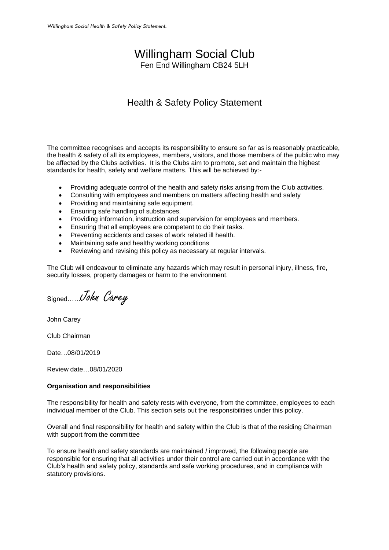## Willingham Social Club

Fen End Willingham CB24 5LH

## Health & Safety Policy Statement

The committee recognises and accepts its responsibility to ensure so far as is reasonably practicable, the health & safety of all its employees, members, visitors, and those members of the public who may be affected by the Clubs activities. It is the Clubs aim to promote, set and maintain the highest standards for health, safety and welfare matters. This will be achieved by:-

- Providing adequate control of the health and safety risks arising from the Club activities.
- Consulting with employees and members on matters affecting health and safety
- Providing and maintaining safe equipment.
- Ensuring safe handling of substances.
- Providing information, instruction and supervision for employees and members.
- Ensuring that all employees are competent to do their tasks.
- Preventing accidents and cases of work related ill health.
- Maintaining safe and healthy working conditions
- Reviewing and revising this policy as necessary at regular intervals.

The Club will endeavour to eliminate any hazards which may result in personal injury, illness, fire, security losses, property damages or harm to the environment.

Signed John Carey

John Carey

Club Chairman

Date…08/01/2019

Review date…08/01/2020

## **Organisation and responsibilities**

The responsibility for health and safety rests with everyone, from the committee, employees to each individual member of the Club. This section sets out the responsibilities under this policy.

Overall and final responsibility for health and safety within the Club is that of the residing Chairman with support from the committee

To ensure health and safety standards are maintained / improved, the following people are responsible for ensuring that all activities under their control are carried out in accordance with the Club's health and safety policy, standards and safe working procedures, and in compliance with statutory provisions.